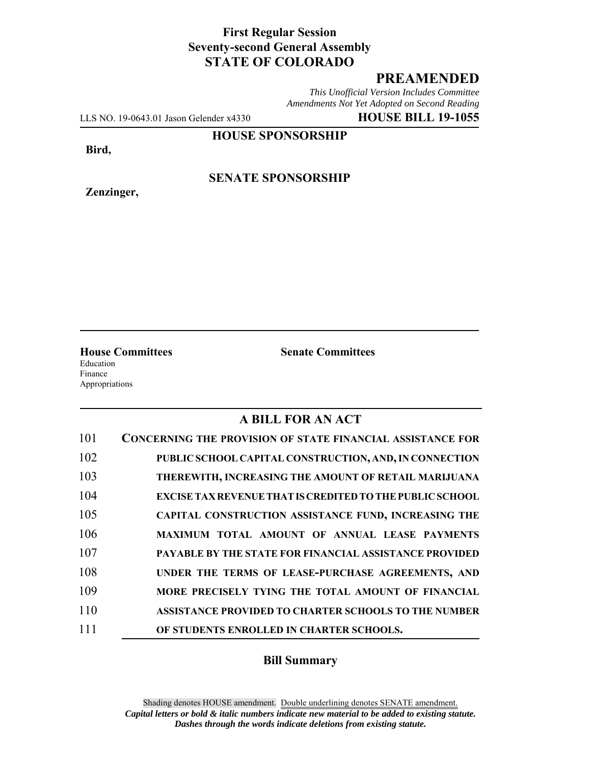## **First Regular Session Seventy-second General Assembly STATE OF COLORADO**

## **PREAMENDED**

*This Unofficial Version Includes Committee Amendments Not Yet Adopted on Second Reading*

LLS NO. 19-0643.01 Jason Gelender x4330 **HOUSE BILL 19-1055**

**HOUSE SPONSORSHIP**

**Bird,**

**Zenzinger,**

**SENATE SPONSORSHIP**

**House Committees Senate Committees** Education

Finance Appropriations

## **A BILL FOR AN ACT**

| 101 | <b>CONCERNING THE PROVISION OF STATE FINANCIAL ASSISTANCE FOR</b> |
|-----|-------------------------------------------------------------------|
| 102 | PUBLIC SCHOOL CAPITAL CONSTRUCTION, AND, IN CONNECTION            |
| 103 | THEREWITH, INCREASING THE AMOUNT OF RETAIL MARIJUANA              |
| 104 | <b>EXCISE TAX REVENUE THAT IS CREDITED TO THE PUBLIC SCHOOL</b>   |
| 105 | CAPITAL CONSTRUCTION ASSISTANCE FUND, INCREASING THE              |
| 106 | MAXIMUM TOTAL AMOUNT OF ANNUAL LEASE PAYMENTS                     |
| 107 | <b>PAYABLE BY THE STATE FOR FINANCIAL ASSISTANCE PROVIDED</b>     |
| 108 | UNDER THE TERMS OF LEASE-PURCHASE AGREEMENTS, AND                 |
| 109 | MORE PRECISELY TYING THE TOTAL AMOUNT OF FINANCIAL                |
| 110 | ASSISTANCE PROVIDED TO CHARTER SCHOOLS TO THE NUMBER              |
| 111 | OF STUDENTS ENROLLED IN CHARTER SCHOOLS.                          |

## **Bill Summary**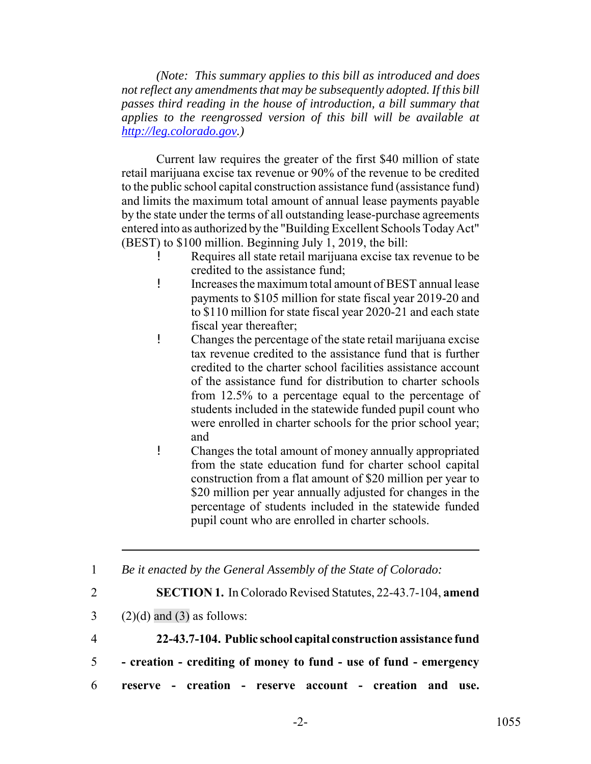*(Note: This summary applies to this bill as introduced and does not reflect any amendments that may be subsequently adopted. If this bill passes third reading in the house of introduction, a bill summary that applies to the reengrossed version of this bill will be available at http://leg.colorado.gov.)*

Current law requires the greater of the first \$40 million of state retail marijuana excise tax revenue or 90% of the revenue to be credited to the public school capital construction assistance fund (assistance fund) and limits the maximum total amount of annual lease payments payable by the state under the terms of all outstanding lease-purchase agreements entered into as authorized by the "Building Excellent Schools Today Act" (BEST) to \$100 million. Beginning July 1, 2019, the bill:

- Requires all state retail marijuana excise tax revenue to be credited to the assistance fund;
- ! Increases the maximum total amount of BEST annual lease payments to \$105 million for state fiscal year 2019-20 and to \$110 million for state fiscal year 2020-21 and each state fiscal year thereafter;
- ! Changes the percentage of the state retail marijuana excise tax revenue credited to the assistance fund that is further credited to the charter school facilities assistance account of the assistance fund for distribution to charter schools from 12.5% to a percentage equal to the percentage of students included in the statewide funded pupil count who were enrolled in charter schools for the prior school year; and
- ! Changes the total amount of money annually appropriated from the state education fund for charter school capital construction from a flat amount of \$20 million per year to \$20 million per year annually adjusted for changes in the percentage of students included in the statewide funded pupil count who are enrolled in charter schools.

1 *Be it enacted by the General Assembly of the State of Colorado:*

- 2 **SECTION 1.** In Colorado Revised Statutes, 22-43.7-104, **amend**
- $3$  (2)(d) and (3) as follows:
- 4 **22-43.7-104. Public school capital construction assistance fund**
- 5  **creation crediting of money to fund use of fund emergency**
- 6 **reserve creation reserve account creation and use.**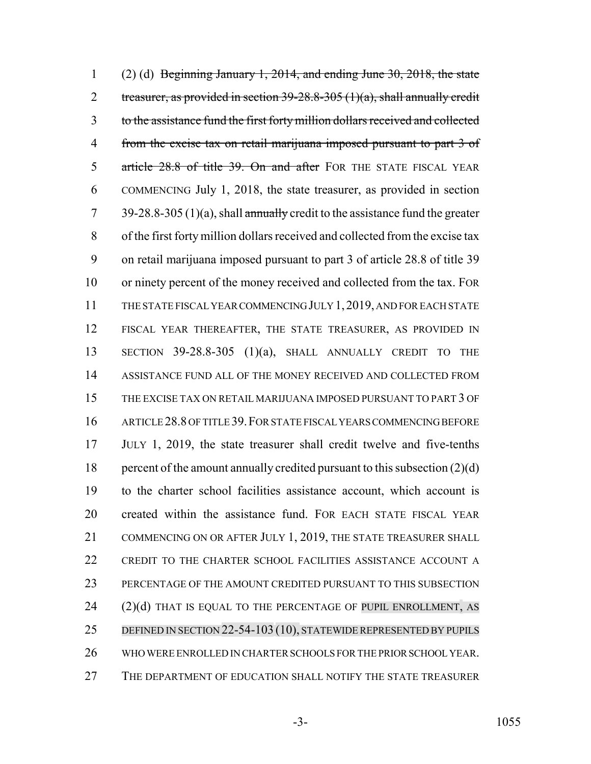1 (2) (d) Beginning January 1, 2014, and ending June 30, 2018, the state 2 treasurer, as provided in section  $39-28.8-305$  (1)(a), shall annually credit to the assistance fund the first forty million dollars received and collected from the excise tax on retail marijuana imposed pursuant to part 3 of 5 article 28.8 of title 39. On and after FOR THE STATE FISCAL YEAR COMMENCING July 1, 2018, the state treasurer, as provided in section 7 39-28.8-305 (1)(a), shall annually credit to the assistance fund the greater of the first forty million dollars received and collected from the excise tax on retail marijuana imposed pursuant to part 3 of article 28.8 of title 39 or ninety percent of the money received and collected from the tax. FOR THE STATE FISCAL YEAR COMMENCING JULY 1,2019, AND FOR EACH STATE FISCAL YEAR THEREAFTER, THE STATE TREASURER, AS PROVIDED IN SECTION 39-28.8-305 (1)(a), SHALL ANNUALLY CREDIT TO THE ASSISTANCE FUND ALL OF THE MONEY RECEIVED AND COLLECTED FROM THE EXCISE TAX ON RETAIL MARIJUANA IMPOSED PURSUANT TO PART 3 OF ARTICLE 28.8 OF TITLE 39.FOR STATE FISCAL YEARS COMMENCING BEFORE JULY 1, 2019, the state treasurer shall credit twelve and five-tenths 18 percent of the amount annually credited pursuant to this subsection  $(2)(d)$  to the charter school facilities assistance account, which account is created within the assistance fund. FOR EACH STATE FISCAL YEAR 21 COMMENCING ON OR AFTER JULY 1, 2019, THE STATE TREASURER SHALL CREDIT TO THE CHARTER SCHOOL FACILITIES ASSISTANCE ACCOUNT A PERCENTAGE OF THE AMOUNT CREDITED PURSUANT TO THIS SUBSECTION 24 (2)(d) THAT IS EQUAL TO THE PERCENTAGE OF PUPIL ENROLLMENT, AS 25 DEFINED IN SECTION 22-54-103 (10), STATEWIDE REPRESENTED BY PUPILS WHO WERE ENROLLED IN CHARTER SCHOOLS FOR THE PRIOR SCHOOL YEAR. THE DEPARTMENT OF EDUCATION SHALL NOTIFY THE STATE TREASURER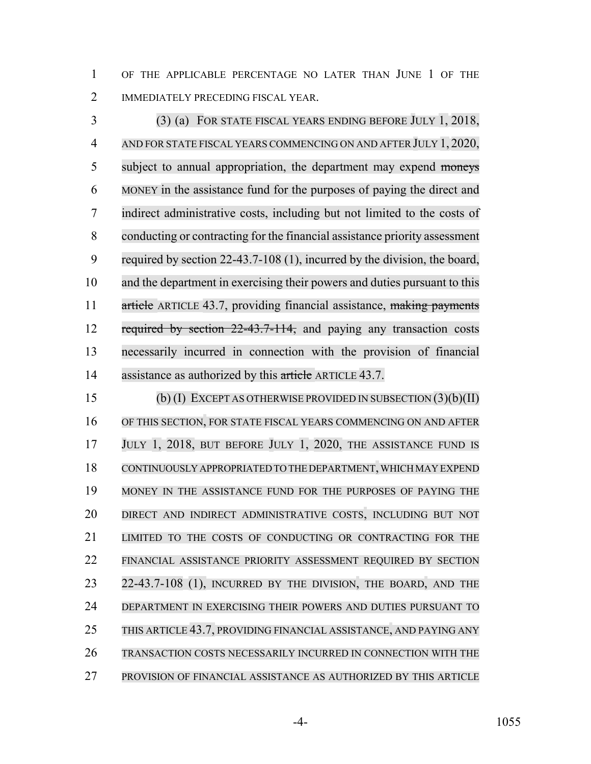OF THE APPLICABLE PERCENTAGE NO LATER THAN JUNE 1 OF THE IMMEDIATELY PRECEDING FISCAL YEAR.

 (3) (a) FOR STATE FISCAL YEARS ENDING BEFORE JULY 1, 2018, AND FOR STATE FISCAL YEARS COMMENCING ON AND AFTER JULY 1, 2020, 5 subject to annual appropriation, the department may expend moneys MONEY in the assistance fund for the purposes of paying the direct and indirect administrative costs, including but not limited to the costs of conducting or contracting for the financial assistance priority assessment required by section 22-43.7-108 (1), incurred by the division, the board, and the department in exercising their powers and duties pursuant to this 11 article ARTICLE 43.7, providing financial assistance, making payments 12 required by section 22-43.7-114, and paying any transaction costs necessarily incurred in connection with the provision of financial 14 assistance as authorized by this article ARTICLE 43.7.

 (b) (I) EXCEPT AS OTHERWISE PROVIDED IN SUBSECTION (3)(b)(II) OF THIS SECTION, FOR STATE FISCAL YEARS COMMENCING ON AND AFTER 17 JULY 1, 2018, BUT BEFORE JULY 1, 2020, THE ASSISTANCE FUND IS CONTINUOUSLY APPROPRIATED TO THE DEPARTMENT,WHICH MAY EXPEND MONEY IN THE ASSISTANCE FUND FOR THE PURPOSES OF PAYING THE DIRECT AND INDIRECT ADMINISTRATIVE COSTS, INCLUDING BUT NOT LIMITED TO THE COSTS OF CONDUCTING OR CONTRACTING FOR THE FINANCIAL ASSISTANCE PRIORITY ASSESSMENT REQUIRED BY SECTION 23 22-43.7-108 (1), INCURRED BY THE DIVISION, THE BOARD, AND THE DEPARTMENT IN EXERCISING THEIR POWERS AND DUTIES PURSUANT TO THIS ARTICLE 43.7, PROVIDING FINANCIAL ASSISTANCE, AND PAYING ANY TRANSACTION COSTS NECESSARILY INCURRED IN CONNECTION WITH THE PROVISION OF FINANCIAL ASSISTANCE AS AUTHORIZED BY THIS ARTICLE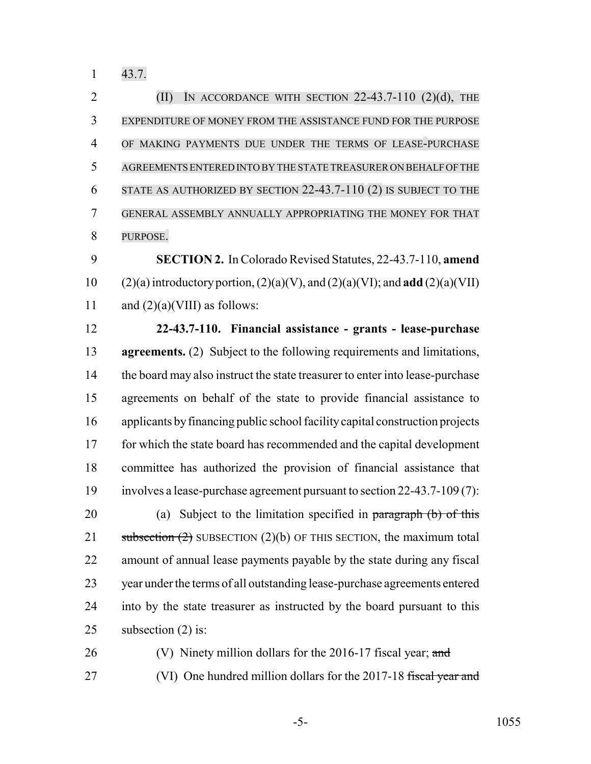43.7.

**(II)** IN ACCORDANCE WITH SECTION 22-43.7-110 (2)(d), THE EXPENDITURE OF MONEY FROM THE ASSISTANCE FUND FOR THE PURPOSE OF MAKING PAYMENTS DUE UNDER THE TERMS OF LEASE-PURCHASE AGREEMENTS ENTERED INTO BY THE STATE TREASURER ON BEHALF OF THE STATE AS AUTHORIZED BY SECTION 22-43.7-110 (2) IS SUBJECT TO THE GENERAL ASSEMBLY ANNUALLY APPROPRIATING THE MONEY FOR THAT PURPOSE.

 **SECTION 2.** In Colorado Revised Statutes, 22-43.7-110, **amend** 10 (2)(a) introductory portion,  $(2)(a)(V)$ , and  $(2)(a)(VI)$ ; and **add**  $(2)(a)(VII)$ 11 and  $(2)(a)(VIII)$  as follows:

 **22-43.7-110. Financial assistance - grants - lease-purchase agreements.** (2) Subject to the following requirements and limitations, 14 the board may also instruct the state treasurer to enter into lease-purchase agreements on behalf of the state to provide financial assistance to applicants by financing public school facility capital construction projects for which the state board has recommended and the capital development committee has authorized the provision of financial assistance that involves a lease-purchase agreement pursuant to section 22-43.7-109 (7): 20 (a) Subject to the limitation specified in paragraph (b) of this 21 subsection  $(2)$  SUBSECTION  $(2)(b)$  OF THIS SECTION, the maximum total amount of annual lease payments payable by the state during any fiscal year under the terms of all outstanding lease-purchase agreements entered into by the state treasurer as instructed by the board pursuant to this subsection (2) is:

26 (V) Ninety million dollars for the 2016-17 fiscal year; and

27 (VI) One hundred million dollars for the 2017-18 fiscal year and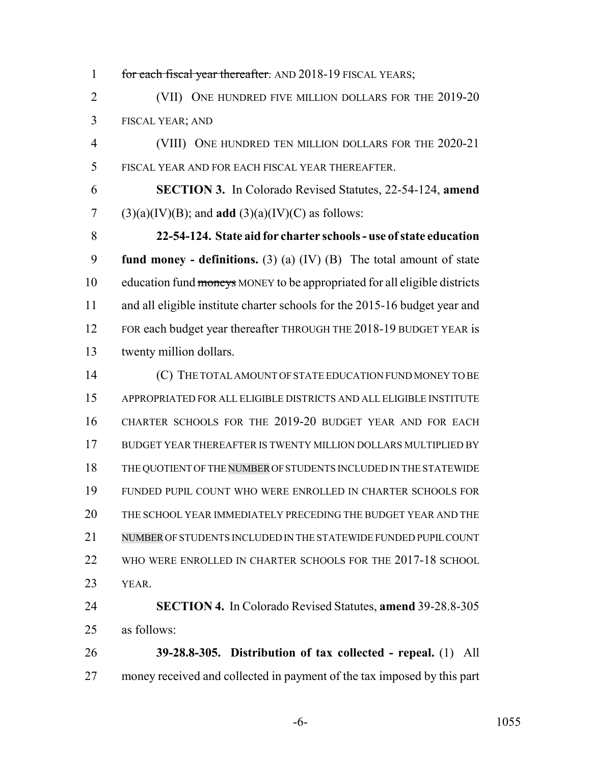1 for each fiscal year thereafter. AND 2018-19 FISCAL YEARS; (VII) ONE HUNDRED FIVE MILLION DOLLARS FOR THE 2019-20 FISCAL YEAR; AND (VIII) ONE HUNDRED TEN MILLION DOLLARS FOR THE 2020-21 FISCAL YEAR AND FOR EACH FISCAL YEAR THEREAFTER. **SECTION 3.** In Colorado Revised Statutes, 22-54-124, **amend** 7 (3)(a)(IV)(B); and **add** (3)(a)(IV)(C) as follows: **22-54-124. State aid for charter schools - use of state education fund money - definitions.** (3) (a) (IV) (B) The total amount of state 10 education fund moneys MONEY to be appropriated for all eligible districts and all eligible institute charter schools for the 2015-16 budget year and 12 FOR each budget year thereafter THROUGH THE 2018-19 BUDGET YEAR is twenty million dollars. (C) THE TOTAL AMOUNT OF STATE EDUCATION FUND MONEY TO BE APPROPRIATED FOR ALL ELIGIBLE DISTRICTS AND ALL ELIGIBLE INSTITUTE CHARTER SCHOOLS FOR THE 2019-20 BUDGET YEAR AND FOR EACH BUDGET YEAR THEREAFTER IS TWENTY MILLION DOLLARS MULTIPLIED BY THE QUOTIENT OF THE NUMBER OF STUDENTS INCLUDED IN THE STATEWIDE FUNDED PUPIL COUNT WHO WERE ENROLLED IN CHARTER SCHOOLS FOR THE SCHOOL YEAR IMMEDIATELY PRECEDING THE BUDGET YEAR AND THE NUMBER OF STUDENTS INCLUDED IN THE STATEWIDE FUNDED PUPIL COUNT 22 WHO WERE ENROLLED IN CHARTER SCHOOLS FOR THE 2017-18 SCHOOL YEAR. **SECTION 4.** In Colorado Revised Statutes, **amend** 39-28.8-305 as follows: **39-28.8-305. Distribution of tax collected - repeal.** (1) All money received and collected in payment of the tax imposed by this part

-6- 1055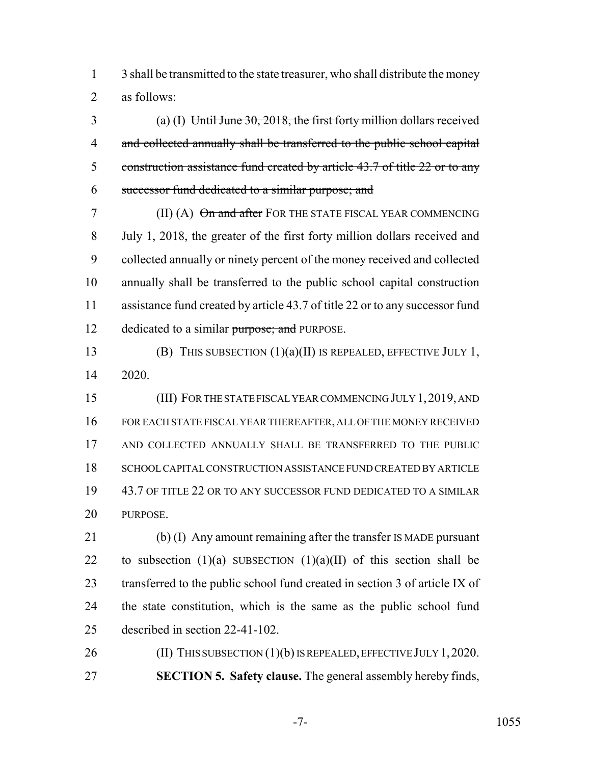3 shall be transmitted to the state treasurer, who shall distribute the money as follows:

 (a) (I) Until June 30, 2018, the first forty million dollars received 4 and collected annually shall be transferred to the public school capital construction assistance fund created by article 43.7 of title 22 or to any successor fund dedicated to a similar purpose; and

7 (II) (A)  $\Theta$ n and after FOR THE STATE FISCAL YEAR COMMENCING July 1, 2018, the greater of the first forty million dollars received and collected annually or ninety percent of the money received and collected annually shall be transferred to the public school capital construction assistance fund created by article 43.7 of title 22 or to any successor fund 12 dedicated to a similar purpose; and PURPOSE.

 (B) THIS SUBSECTION (1)(a)(II) IS REPEALED, EFFECTIVE JULY 1, 2020.

 (III) FOR THE STATE FISCAL YEAR COMMENCING JULY 1,2019, AND FOR EACH STATE FISCAL YEAR THEREAFTER, ALL OF THE MONEY RECEIVED AND COLLECTED ANNUALLY SHALL BE TRANSFERRED TO THE PUBLIC SCHOOL CAPITAL CONSTRUCTION ASSISTANCE FUND CREATED BY ARTICLE 43.7 OF TITLE 22 OR TO ANY SUCCESSOR FUND DEDICATED TO A SIMILAR PURPOSE.

 (b) (I) Any amount remaining after the transfer IS MADE pursuant 22 to subsection  $(1)(a)$  SUBSECTION  $(1)(a)(II)$  of this section shall be transferred to the public school fund created in section 3 of article IX of the state constitution, which is the same as the public school fund described in section 22-41-102.

26 (II) THIS SUBSECTION (1)(b) IS REPEALED, EFFECTIVE JULY 1, 2020. **SECTION 5. Safety clause.** The general assembly hereby finds,